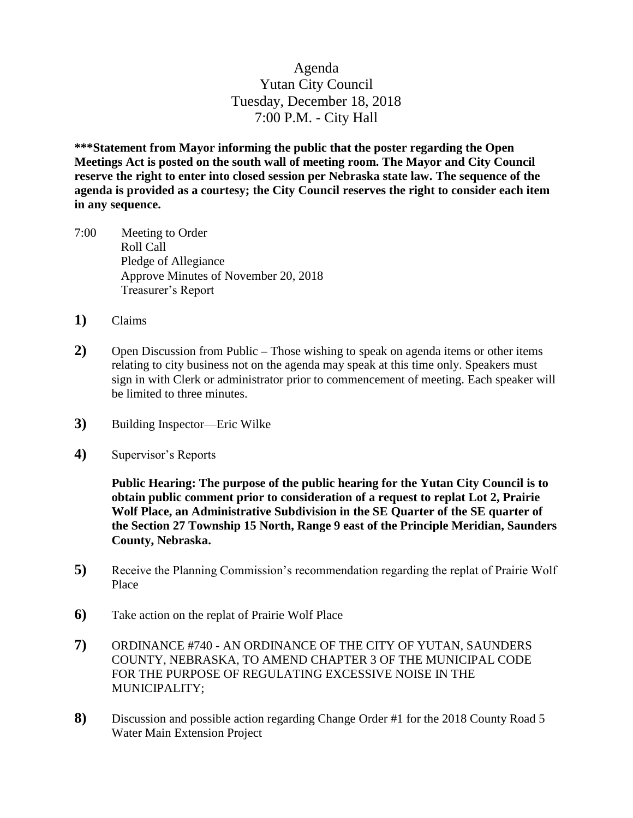## Agenda Yutan City Council Tuesday, December 18, 2018 7:00 P.M. - City Hall

**\*\*\*Statement from Mayor informing the public that the poster regarding the Open Meetings Act is posted on the south wall of meeting room. The Mayor and City Council reserve the right to enter into closed session per Nebraska state law. The sequence of the agenda is provided as a courtesy; the City Council reserves the right to consider each item in any sequence.**

- 7:00 Meeting to Order Roll Call Pledge of Allegiance Approve Minutes of November 20, 2018 Treasurer's Report
- **1)** Claims
- **2)** Open Discussion from Public **–** Those wishing to speak on agenda items or other items relating to city business not on the agenda may speak at this time only. Speakers must sign in with Clerk or administrator prior to commencement of meeting. Each speaker will be limited to three minutes.
- **3)** Building Inspector—Eric Wilke
- **4)** Supervisor's Reports

**Public Hearing: The purpose of the public hearing for the Yutan City Council is to obtain public comment prior to consideration of a request to replat Lot 2, Prairie Wolf Place, an Administrative Subdivision in the SE Quarter of the SE quarter of the Section 27 Township 15 North, Range 9 east of the Principle Meridian, Saunders County, Nebraska.**

- **5)** Receive the Planning Commission's recommendation regarding the replat of Prairie Wolf Place
- **6)** Take action on the replat of Prairie Wolf Place
- **7)** ORDINANCE #740 AN ORDINANCE OF THE CITY OF YUTAN, SAUNDERS COUNTY, NEBRASKA, TO AMEND CHAPTER 3 OF THE MUNICIPAL CODE FOR THE PURPOSE OF REGULATING EXCESSIVE NOISE IN THE MUNICIPALITY;
- **8)** Discussion and possible action regarding Change Order #1 for the 2018 County Road 5 Water Main Extension Project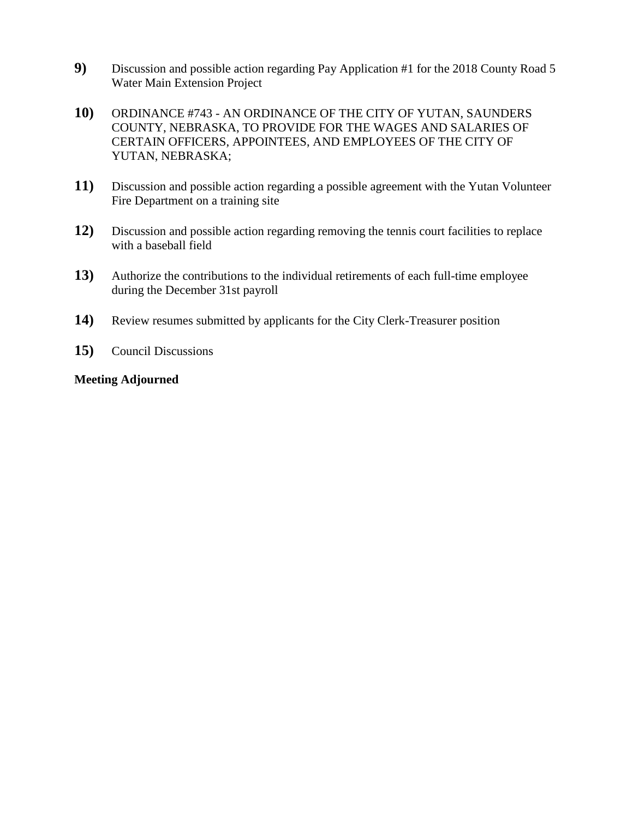- **9)** Discussion and possible action regarding Pay Application #1 for the 2018 County Road 5 Water Main Extension Project
- **10)** ORDINANCE #743 AN ORDINANCE OF THE CITY OF YUTAN, SAUNDERS COUNTY, NEBRASKA, TO PROVIDE FOR THE WAGES AND SALARIES OF CERTAIN OFFICERS, APPOINTEES, AND EMPLOYEES OF THE CITY OF YUTAN, NEBRASKA;
- **11)** Discussion and possible action regarding a possible agreement with the Yutan Volunteer Fire Department on a training site
- **12)** Discussion and possible action regarding removing the tennis court facilities to replace with a baseball field
- **13)** Authorize the contributions to the individual retirements of each full-time employee during the December 31st payroll
- **14)** Review resumes submitted by applicants for the City Clerk-Treasurer position
- **15)** Council Discussions

#### **Meeting Adjourned**